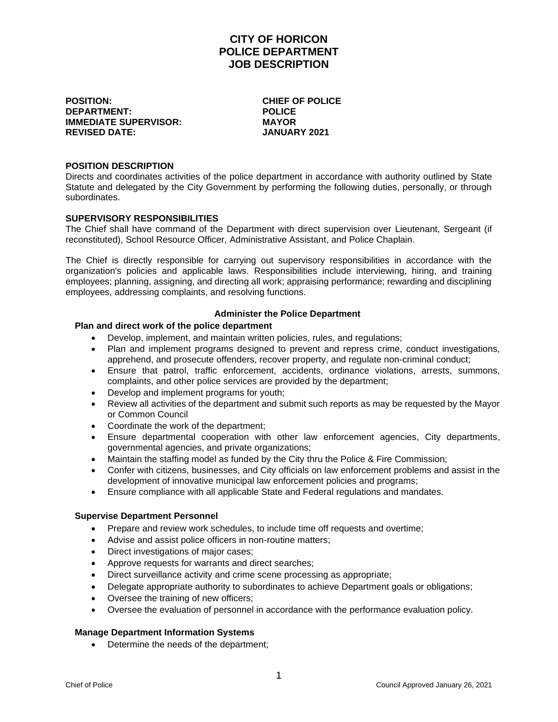# **CITY OF HORICON POLICE DEPARTMENT JOB DESCRIPTION**

**POSITION: CHIEF OF POLICE DEPARTMENT: POLICE IMMEDIATE SUPERVISOR: REVISED DATE: JANUARY 2021**

#### **POSITION DESCRIPTION**

Directs and coordinates activities of the police department in accordance with authority outlined by State Statute and delegated by the City Government by performing the following duties, personally, or through subordinates.

#### **SUPERVISORY RESPONSIBILITIES**

The Chief shall have command of the Department with direct supervision over Lieutenant, Sergeant (if reconstituted), School Resource Officer, Administrative Assistant, and Police Chaplain.

The Chief is directly responsible for carrying out supervisory responsibilities in accordance with the organization's policies and applicable laws. Responsibilities include interviewing, hiring, and training employees; planning, assigning, and directing all work; appraising performance; rewarding and disciplining employees, addressing complaints, and resolving functions.

#### **Administer the Police Department**

# **Plan and direct work of the police department**

- Develop, implement, and maintain written policies, rules, and regulations;
- Plan and implement programs designed to prevent and repress crime, conduct investigations, apprehend, and prosecute offenders, recover property, and regulate non-criminal conduct;
- Ensure that patrol, traffic enforcement, accidents, ordinance violations, arrests, summons, complaints, and other police services are provided by the department;
- Develop and implement programs for youth;
- Review all activities of the department and submit such reports as may be requested by the Mayor or Common Council
- Coordinate the work of the department;
- Ensure departmental cooperation with other law enforcement agencies, City departments, governmental agencies, and private organizations;
- Maintain the staffing model as funded by the City thru the Police & Fire Commission;
- Confer with citizens, businesses, and City officials on law enforcement problems and assist in the development of innovative municipal law enforcement policies and programs;
- Ensure compliance with all applicable State and Federal regulations and mandates.

#### **Supervise Department Personnel**

- Prepare and review work schedules, to include time off requests and overtime;
- Advise and assist police officers in non-routine matters;
- Direct investigations of major cases;
- Approve requests for warrants and direct searches;
- Direct surveillance activity and crime scene processing as appropriate;
- Delegate appropriate authority to subordinates to achieve Department goals or obligations;
- Oversee the training of new officers;
- Oversee the evaluation of personnel in accordance with the performance evaluation policy.

#### **Manage Department Information Systems**

• Determine the needs of the department;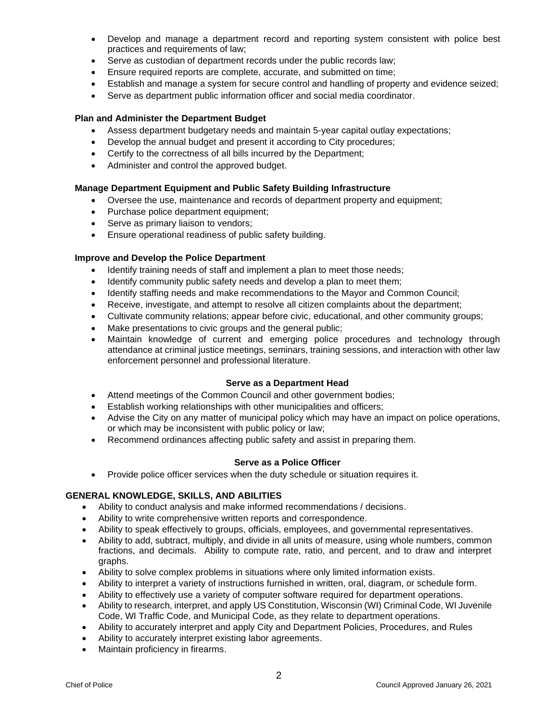- Develop and manage a department record and reporting system consistent with police best practices and requirements of law;
- Serve as custodian of department records under the public records law;
- Ensure required reports are complete, accurate, and submitted on time;
- Establish and manage a system for secure control and handling of property and evidence seized;
- Serve as department public information officer and social media coordinator.

#### **Plan and Administer the Department Budget**

- Assess department budgetary needs and maintain 5-year capital outlay expectations;
- Develop the annual budget and present it according to City procedures:
- Certify to the correctness of all bills incurred by the Department;
- Administer and control the approved budget.

## **Manage Department Equipment and Public Safety Building Infrastructure**

- Oversee the use, maintenance and records of department property and equipment;
- Purchase police department equipment;
- Serve as primary liaison to vendors;
- Ensure operational readiness of public safety building.

#### **Improve and Develop the Police Department**

- Identify training needs of staff and implement a plan to meet those needs;
- Identify community public safety needs and develop a plan to meet them;
- Identify staffing needs and make recommendations to the Mayor and Common Council;
- Receive, investigate, and attempt to resolve all citizen complaints about the department;
- Cultivate community relations; appear before civic, educational, and other community groups;
- Make presentations to civic groups and the general public;
- Maintain knowledge of current and emerging police procedures and technology through attendance at criminal justice meetings, seminars, training sessions, and interaction with other law enforcement personnel and professional literature.

#### **Serve as a Department Head**

- Attend meetings of the Common Council and other government bodies;
- Establish working relationships with other municipalities and officers;
- Advise the City on any matter of municipal policy which may have an impact on police operations, or which may be inconsistent with public policy or law;
- Recommend ordinances affecting public safety and assist in preparing them.

#### **Serve as a Police Officer**

• Provide police officer services when the duty schedule or situation requires it.

# **GENERAL KNOWLEDGE, SKILLS, AND ABILITIES**

- Ability to conduct analysis and make informed recommendations / decisions.
- Ability to write comprehensive written reports and correspondence.
- Ability to speak effectively to groups, officials, employees, and governmental representatives.
- Ability to add, subtract, multiply, and divide in all units of measure, using whole numbers, common fractions, and decimals. Ability to compute rate, ratio, and percent, and to draw and interpret graphs.
- Ability to solve complex problems in situations where only limited information exists.
- Ability to interpret a variety of instructions furnished in written, oral, diagram, or schedule form.
- Ability to effectively use a variety of computer software required for department operations.
- Ability to research, interpret, and apply US Constitution, Wisconsin (WI) Criminal Code, WI Juvenile Code, WI Traffic Code, and Municipal Code, as they relate to department operations.
- Ability to accurately interpret and apply City and Department Policies, Procedures, and Rules
- Ability to accurately interpret existing labor agreements.
- Maintain proficiency in firearms.